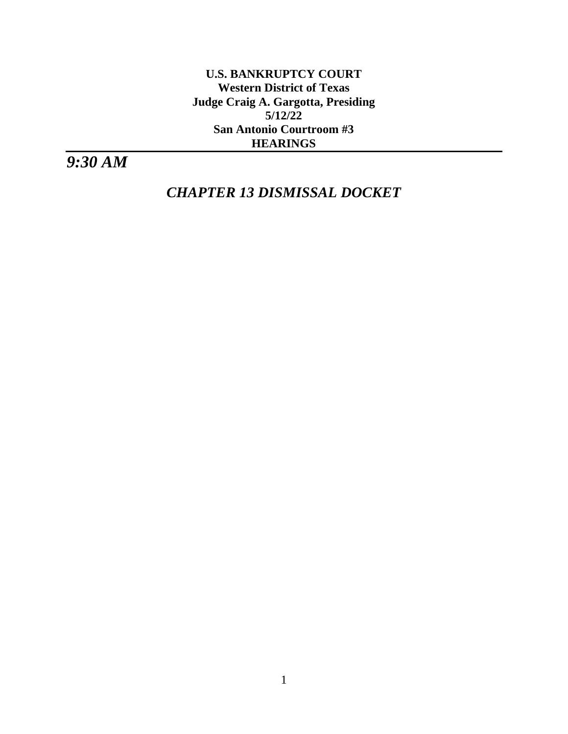**U.S. BANKRUPTCY COURT Western District of Texas Judge Craig A. Gargotta, Presiding 5/12/22 San Antonio Courtroom #3 HEARINGS**

*9:30 AM*

*CHAPTER 13 DISMISSAL DOCKET*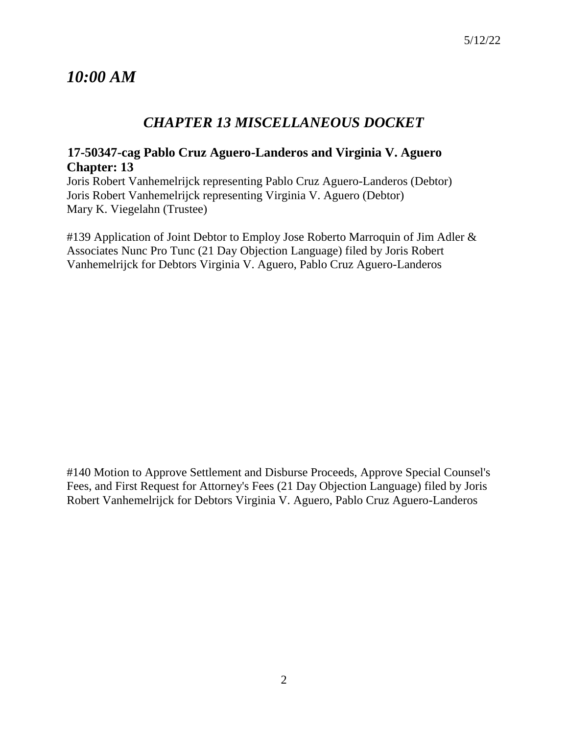# *10:00 AM*

# *CHAPTER 13 MISCELLANEOUS DOCKET*

# **17-50347-cag Pablo Cruz Aguero-Landeros and Virginia V. Aguero Chapter: 13**

Joris Robert Vanhemelrijck representing Pablo Cruz Aguero-Landeros (Debtor) Joris Robert Vanhemelrijck representing Virginia V. Aguero (Debtor) Mary K. Viegelahn (Trustee)

#139 Application of Joint Debtor to Employ Jose Roberto Marroquin of Jim Adler & Associates Nunc Pro Tunc (21 Day Objection Language) filed by Joris Robert Vanhemelrijck for Debtors Virginia V. Aguero, Pablo Cruz Aguero-Landeros

#140 Motion to Approve Settlement and Disburse Proceeds, Approve Special Counsel's Fees, and First Request for Attorney's Fees (21 Day Objection Language) filed by Joris Robert Vanhemelrijck for Debtors Virginia V. Aguero, Pablo Cruz Aguero-Landeros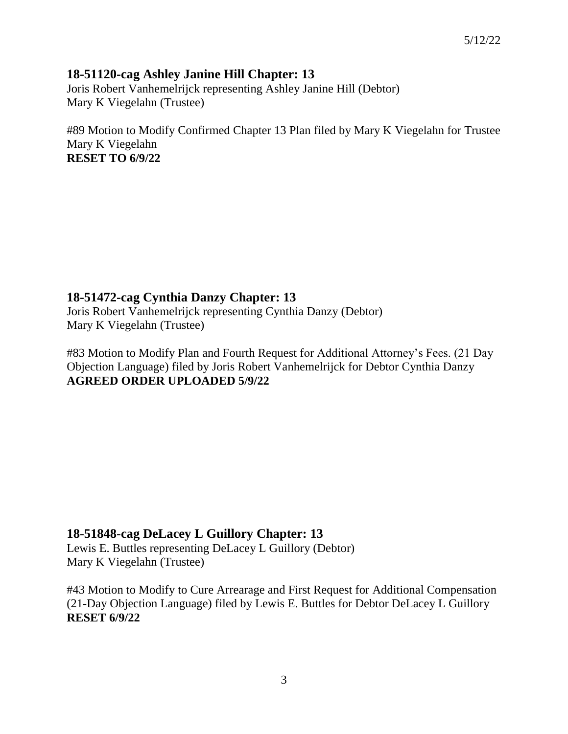## **18-51120-cag Ashley Janine Hill Chapter: 13**

Joris Robert Vanhemelrijck representing Ashley Janine Hill (Debtor) Mary K Viegelahn (Trustee)

#89 Motion to Modify Confirmed Chapter 13 Plan filed by Mary K Viegelahn for Trustee Mary K Viegelahn **RESET TO 6/9/22**

**18-51472-cag Cynthia Danzy Chapter: 13**

Joris Robert Vanhemelrijck representing Cynthia Danzy (Debtor) Mary K Viegelahn (Trustee)

#83 Motion to Modify Plan and Fourth Request for Additional Attorney's Fees. (21 Day Objection Language) filed by Joris Robert Vanhemelrijck for Debtor Cynthia Danzy **AGREED ORDER UPLOADED 5/9/22**

## **18-51848-cag DeLacey L Guillory Chapter: 13**

Lewis E. Buttles representing DeLacey L Guillory (Debtor) Mary K Viegelahn (Trustee)

#43 Motion to Modify to Cure Arrearage and First Request for Additional Compensation (21-Day Objection Language) filed by Lewis E. Buttles for Debtor DeLacey L Guillory **RESET 6/9/22**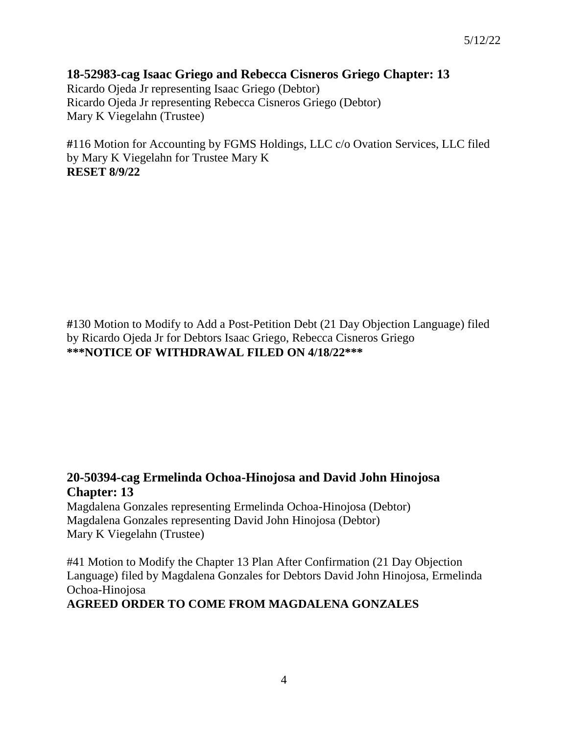## **18-52983-cag Isaac Griego and Rebecca Cisneros Griego Chapter: 13**

Ricardo Ojeda Jr representing Isaac Griego (Debtor) Ricardo Ojeda Jr representing Rebecca Cisneros Griego (Debtor) Mary K Viegelahn (Trustee)

**#**116 Motion for Accounting by FGMS Holdings, LLC c/o Ovation Services, LLC filed by Mary K Viegelahn for Trustee Mary K **RESET 8/9/22**

**#**130 Motion to Modify to Add a Post-Petition Debt (21 Day Objection Language) filed by Ricardo Ojeda Jr for Debtors Isaac Griego, Rebecca Cisneros Griego **\*\*\*NOTICE OF WITHDRAWAL FILED ON 4/18/22\*\*\*** 

# **20-50394-cag Ermelinda Ochoa-Hinojosa and David John Hinojosa Chapter: 13**

Magdalena Gonzales representing Ermelinda Ochoa-Hinojosa (Debtor) Magdalena Gonzales representing David John Hinojosa (Debtor) Mary K Viegelahn (Trustee)

#41 Motion to Modify the Chapter 13 Plan After Confirmation (21 Day Objection Language) filed by Magdalena Gonzales for Debtors David John Hinojosa, Ermelinda Ochoa-Hinojosa

## **AGREED ORDER TO COME FROM MAGDALENA GONZALES**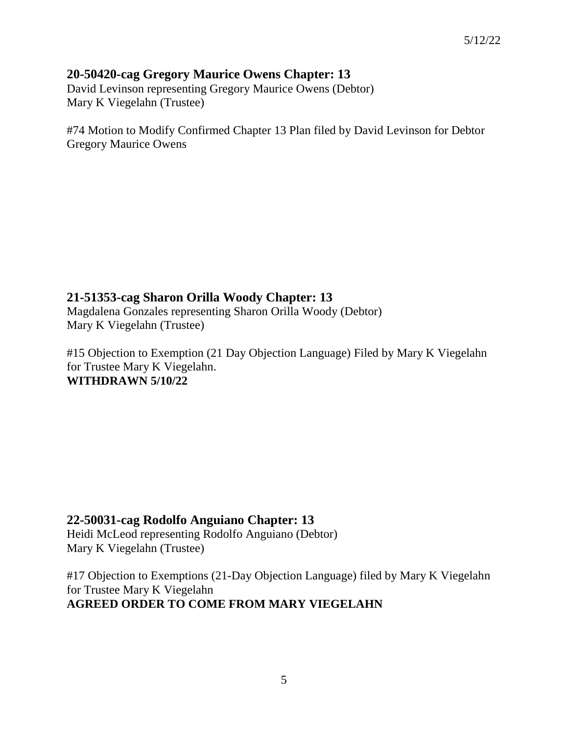## **20-50420-cag Gregory Maurice Owens Chapter: 13**

David Levinson representing Gregory Maurice Owens (Debtor) Mary K Viegelahn (Trustee)

#74 Motion to Modify Confirmed Chapter 13 Plan filed by David Levinson for Debtor Gregory Maurice Owens

# **21-51353-cag Sharon Orilla Woody Chapter: 13**

Magdalena Gonzales representing Sharon Orilla Woody (Debtor) Mary K Viegelahn (Trustee)

#15 Objection to Exemption (21 Day Objection Language) Filed by Mary K Viegelahn for Trustee Mary K Viegelahn. **WITHDRAWN 5/10/22**

## **22-50031-cag Rodolfo Anguiano Chapter: 13**

Heidi McLeod representing Rodolfo Anguiano (Debtor) Mary K Viegelahn (Trustee)

#17 Objection to Exemptions (21-Day Objection Language) filed by Mary K Viegelahn for Trustee Mary K Viegelahn **AGREED ORDER TO COME FROM MARY VIEGELAHN**